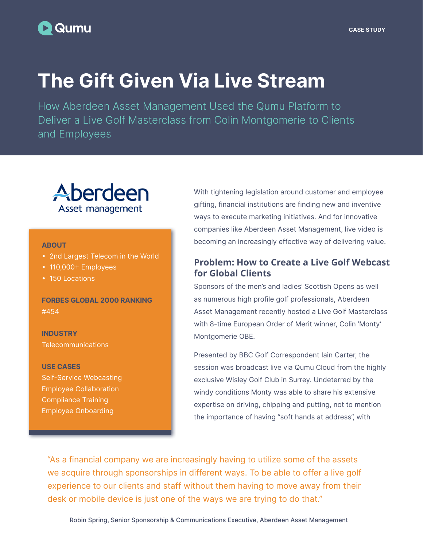## **Qumu**

# The Gift Given Via Live Stream

How Aberdeen Asset Management Used the Qumu Platform to Deliver a Live Golf Masterclass from Colin Montgomerie to Clients and Employees

# Aberdeen Asset management

#### ABOUT

- 2nd Largest Telecom in the World
- 110,000+ Employees
- 150 Locations

FORBES GLOBAL 2000 RANKING #454

**INDUSTRY Telecommunications** 

#### USE CASES

Self-Service Webcasting Employee Collaboration Compliance Training Employee Onboarding

With tightening legislation around customer and employee gifting, financial institutions are finding new and inventive ways to execute marketing initiatives. And for innovative companies like Aberdeen Asset Management, live video is becoming an increasingly effective way of delivering value.

## **Problem: How to Create a Live Golf Webcast for Global Clients**

Sponsors of the men's and ladies' Scottish Opens as well as numerous high profile golf professionals, Aberdeen Asset Management recently hosted a Live Golf Masterclass with 8-time European Order of Merit winner, Colin 'Monty' Montgomerie OBE.

Presented by BBC Golf Correspondent Iain Carter, the session was broadcast live via Qumu Cloud from the highly exclusive Wisley Golf Club in Surrey. Undeterred by the windy conditions Monty was able to share his extensive expertise on driving, chipping and putting, not to mention the importance of having "soft hands at address", with

"As a financial company we are increasingly having to utilize some of the assets we acquire through sponsorships in different ways. To be able to offer a live golf experience to our clients and staff without them having to move away from their desk or mobile device is just one of the ways we are trying to do that."